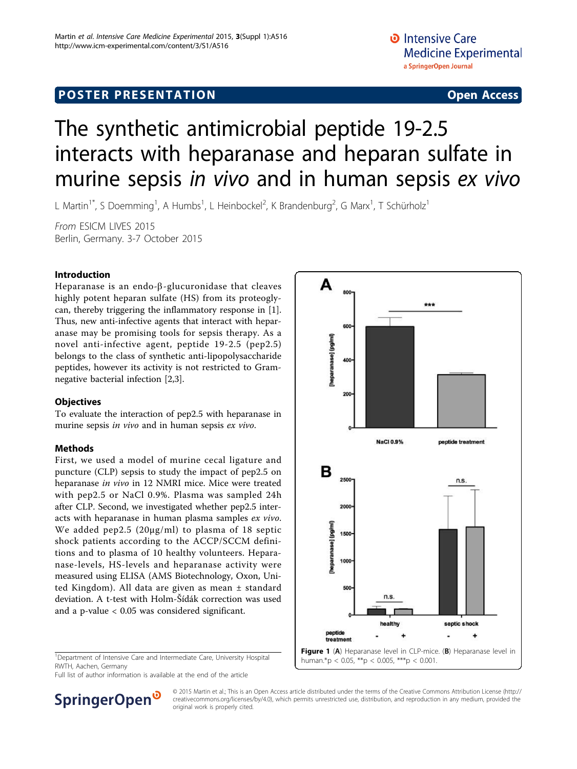# <span id="page-0-0"></span>**POSTER PRESENTATION CONSUMING ACCESS**

# The synthetic antimicrobial peptide 19-2.5 interacts with heparanase and heparan sulfate in murine sepsis in vivo and in human sepsis ex vivo

A

L Martin<sup>1\*</sup>, S Doemming<sup>1</sup>, A Humbs<sup>1</sup>, L Heinbockel<sup>2</sup>, K Brandenburg<sup>2</sup>, G Marx<sup>1</sup>, T Schürholz<sup>1</sup>

From ESICM LIVES 2015 Berlin, Germany. 3-7 October 2015

## Introduction

Heparanase is an endo- $\beta$ -glucuronidase that cleaves highly potent heparan sulfate (HS) from its proteoglycan, thereby triggering the inflammatory response in [\[1](#page-2-0)]. Thus, new anti-infective agents that interact with heparanase may be promising tools for sepsis therapy. As a novel anti-infective agent, peptide 19-2.5 (pep2.5) belongs to the class of synthetic anti-lipopolysaccharide peptides, however its activity is not restricted to Gramnegative bacterial infection [\[2,3](#page-2-0)].

### **Objectives**

To evaluate the interaction of pep2.5 with heparanase in murine sepsis in vivo and in human sepsis ex vivo.

### Methods

First, we used a model of murine cecal ligature and puncture (CLP) sepsis to study the impact of pep2.5 on heparanase in vivo in 12 NMRI mice. Mice were treated with pep2.5 or NaCl 0.9%. Plasma was sampled 24h after CLP. Second, we investigated whether pep2.5 interacts with heparanase in human plasma samples ex vivo. We added pep2.5 (20µg/ml) to plasma of 18 septic shock patients according to the ACCP/SCCM definitions and to plasma of 10 healthy volunteers. Heparanase-levels, HS-levels and heparanase activity were measured using ELISA (AMS Biotechnology, Oxon, United Kingdom). All data are given as mean ± standard deviation. A t-test with Holm-Šídák correction was used and a p-value < 0.05 was considered significant.

<sup>1</sup>Department of Intensive Care and Intermediate Care, University Hospital RWTH, Aachen, Germany

Full list of author information is available at the end of the article



human.\*p < 0.05, \*\*p < 0.005, \*\*\*p < 0.001.

SpringerOpen<sup>®</sup>

© 2015 Martin et al.; This is an Open Access article distributed under the terms of the Creative Commons Attribution License [\(http://](http://creativecommons.org/licenses/by/4.0) [creativecommons.org/licenses/by/4.0](http://creativecommons.org/licenses/by/4.0)), which permits unrestricted use, distribution, and reproduction in any medium, provided the original work is properly cited.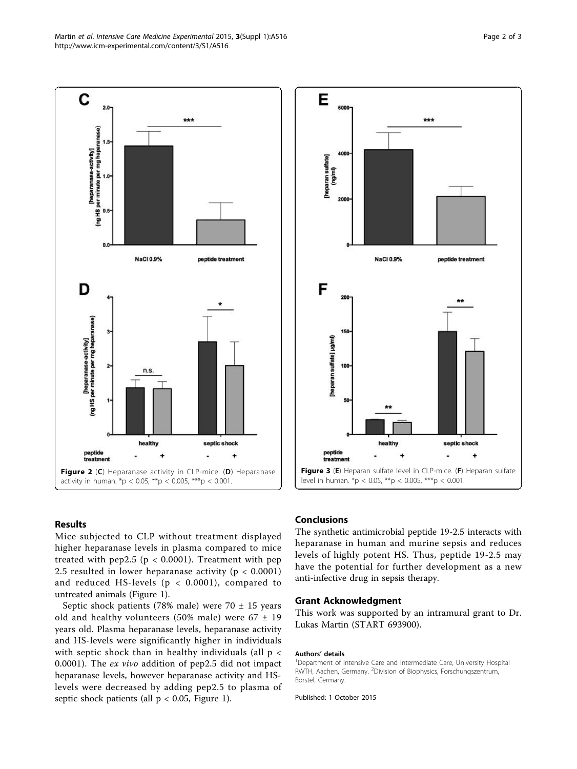



#### Results

Mice subjected to CLP without treatment displayed higher heparanase levels in plasma compared to mice treated with pep2.5 ( $p < 0.0001$ ). Treatment with pep 2.5 resulted in lower heparanase activity ( $p < 0.0001$ ) and reduced HS-levels (p < 0.0001), compared to untreated animals (Figure [1](#page-0-0)).

Septic shock patients (78% male) were 70  $\pm$  15 years old and healthy volunteers (50% male) were  $67 \pm 19$ years old. Plasma heparanase levels, heparanase activity and HS-levels were significantly higher in individuals with septic shock than in healthy individuals (all  $p <$ 0.0001). The ex vivo addition of pep2.5 did not impact heparanase levels, however heparanase activity and HSlevels were decreased by adding pep2.5 to plasma of septic shock patients (all  $p < 0.05$ , Figure [1\)](#page-0-0).

#### Conclusions

The synthetic antimicrobial peptide 19-2.5 interacts with heparanase in human and murine sepsis and reduces levels of highly potent HS. Thus, peptide 19-2.5 may have the potential for further development as a new anti-infective drug in sepsis therapy.

#### Grant Acknowledgment

This work was supported by an intramural grant to Dr. Lukas Martin (START 693900).

#### Authors' details <sup>1</sup>

<sup>1</sup>Department of Intensive Care and Intermediate Care, University Hospital RWTH, Aachen, Germany. <sup>2</sup>Division of Biophysics, Forschungszentrum, Borstel, Germany.

Published: 1 October 2015